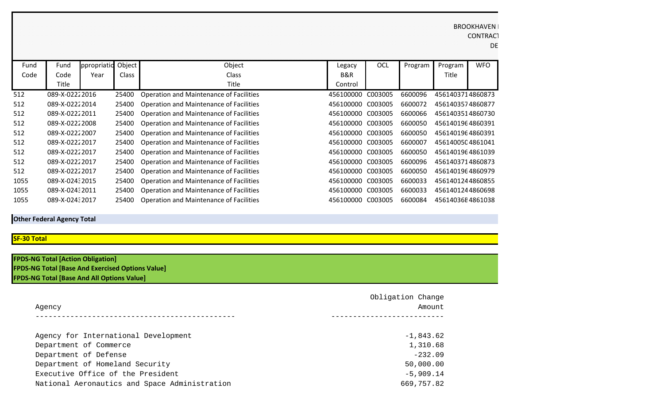| Fund | Fund           | ppropriatio | Object       | Object                                         | Legacy            | OCL     | Program | Program          | <b>WFO</b> |
|------|----------------|-------------|--------------|------------------------------------------------|-------------------|---------|---------|------------------|------------|
| Code | Code           | Year        | <b>Class</b> | <b>Class</b>                                   | B&R               |         |         | Title            |            |
|      | Title          |             |              | Title                                          | Control           |         |         |                  |            |
| 512  | 089-X-02222016 |             | 25400        | <b>Operation and Maintenance of Facilities</b> | 456100000         | C003005 | 6600096 | 4561403714860873 |            |
| 512  | 089-X-02222014 |             | 25400        | Operation and Maintenance of Facilities        | 456100000 C003005 |         | 6600072 | 4561403574860877 |            |
| 512  | 089-X-02222011 |             | 25400        | <b>Operation and Maintenance of Facilities</b> | 456100000 C003005 |         | 6600066 | 4561403514860730 |            |
| 512  | 089-X-02222008 |             | 25400        | <b>Operation and Maintenance of Facilities</b> | 456100000 C003005 |         | 6600050 | 4561401964860391 |            |
| 512  | 089-X-02222007 |             | 25400        | <b>Operation and Maintenance of Facilities</b> | 456100000 C003005 |         | 6600050 | 4561401964860391 |            |
| 512  | 089-X-02222017 |             | 25400        | <b>Operation and Maintenance of Facilities</b> | 456100000 C003005 |         | 6600007 | 4561400504861041 |            |
| 512  | 089-X-02222017 |             | 25400        | <b>Operation and Maintenance of Facilities</b> | 456100000 C003005 |         | 6600050 | 4561401964861039 |            |
| 512  | 089-X-02222017 |             | 25400        | <b>Operation and Maintenance of Facilities</b> | 456100000         | C003005 | 6600096 | 4561403714860873 |            |
| 512  | 089-X-02222017 |             | 25400        | <b>Operation and Maintenance of Facilities</b> | 456100000 C003005 |         | 6600050 | 4561401964860979 |            |
| 1055 | 089-X-02432015 |             | 25400        | <b>Operation and Maintenance of Facilities</b> | 456100000         | C003005 | 6600033 | 4561401244860855 |            |
| 1055 | 089-X-02432011 |             | 25400        | <b>Operation and Maintenance of Facilities</b> | 456100000 C003005 |         | 6600033 | 4561401244860698 |            |
| 1055 | 089-X-02432017 |             | 25400        | Operation and Maintenance of Facilities        | 456100000         | C003005 | 6600084 | 45614036E4861038 |            |

**Other Federal Agency Total**

## **SF-30 Total**

| <b>FPDS-NG Total [Action Obligation]</b>                |  |
|---------------------------------------------------------|--|
| <b>FPDS-NG Total [Base And Exercised Options Value]</b> |  |
| <b>FPDS-NG Total [Base And All Options Value]</b>       |  |

| Agency                                        | Obligation Change<br>Amount |  |  |
|-----------------------------------------------|-----------------------------|--|--|
|                                               |                             |  |  |
| Agency for International Development          | $-1,843.62$                 |  |  |
| Department of Commerce                        | 1,310.68                    |  |  |
| Department of Defense                         | $-232.09$                   |  |  |
| Department of Homeland Security               | 50,000.00                   |  |  |
| Executive Office of the President             | $-5,909.14$                 |  |  |
| National Aeronautics and Space Administration | 669,757.82                  |  |  |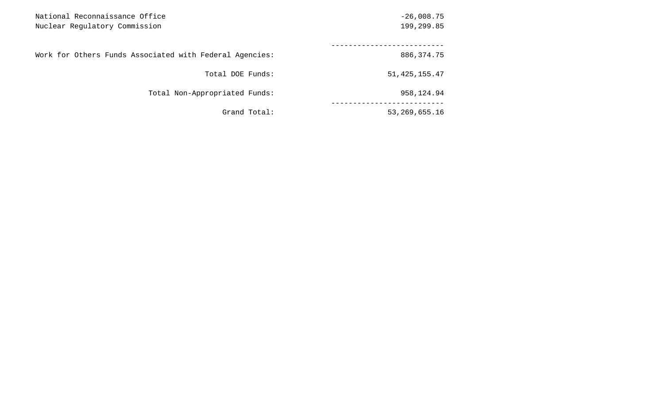|                 | National Reconnaissance Office<br>Nuclear Regulatory Commission |  |  |
|-----------------|-----------------------------------------------------------------|--|--|
|                 |                                                                 |  |  |
|                 | Work for Others Funds Associated with Federal Agencies:         |  |  |
| 51, 425, 155.47 | Total DOE Funds:                                                |  |  |
|                 | Total Non-Appropriated Funds:                                   |  |  |
| 53,269,655.16   | Grand Total:                                                    |  |  |